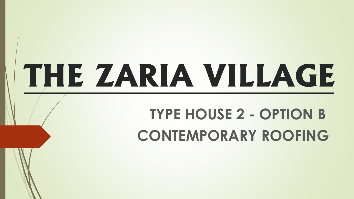## **THE ZARIA VILLAGE**

## **TYPE HOUSE 2 - OPTION B CONTEMPORARY ROOFING**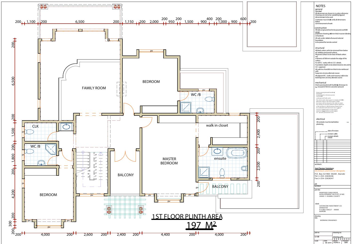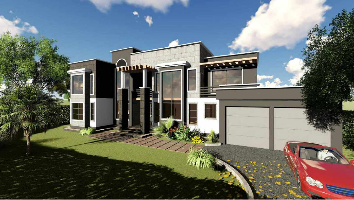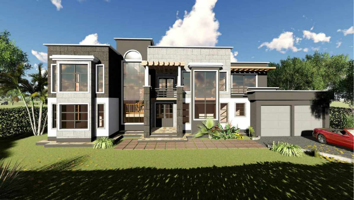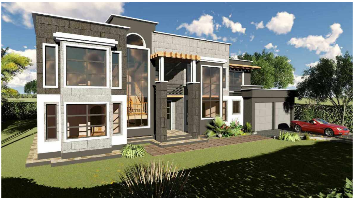![](_page_4_Picture_0.jpeg)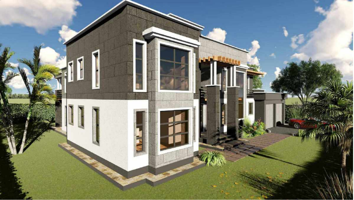![](_page_5_Picture_0.jpeg)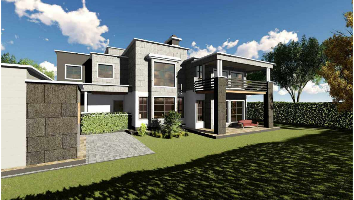![](_page_6_Picture_0.jpeg)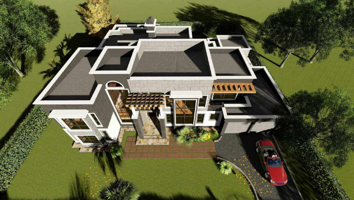![](_page_7_Picture_0.jpeg)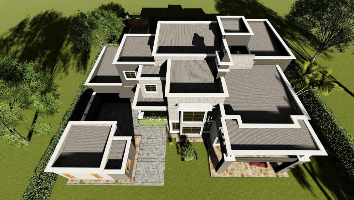![](_page_8_Picture_0.jpeg)